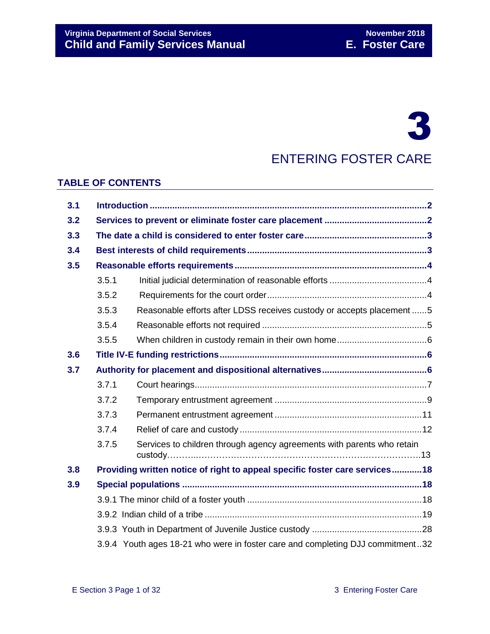# 3

## ENTERING FOSTER CARE

#### **TABLE OF CONTENTS**

| 3.1 |                                                                                |                                                                        |  |
|-----|--------------------------------------------------------------------------------|------------------------------------------------------------------------|--|
| 3.2 |                                                                                |                                                                        |  |
| 3.3 |                                                                                |                                                                        |  |
| 3.4 |                                                                                |                                                                        |  |
| 3.5 |                                                                                |                                                                        |  |
|     | 3.5.1                                                                          |                                                                        |  |
|     | 3.5.2                                                                          |                                                                        |  |
|     | 3.5.3                                                                          | Reasonable efforts after LDSS receives custody or accepts placement 5  |  |
|     | 3.5.4                                                                          |                                                                        |  |
|     | 3.5.5                                                                          |                                                                        |  |
| 3.6 |                                                                                |                                                                        |  |
| 3.7 |                                                                                |                                                                        |  |
|     | 3.7.1                                                                          |                                                                        |  |
|     | 3.7.2                                                                          |                                                                        |  |
|     | 3.7.3                                                                          |                                                                        |  |
|     | 3.7.4                                                                          |                                                                        |  |
|     | 3.7.5                                                                          | Services to children through agency agreements with parents who retain |  |
| 3.8 | Providing written notice of right to appeal specific foster care services18    |                                                                        |  |
| 3.9 |                                                                                |                                                                        |  |
|     |                                                                                |                                                                        |  |
|     |                                                                                |                                                                        |  |
|     |                                                                                |                                                                        |  |
|     | 3.9.4 Youth ages 18-21 who were in foster care and completing DJJ commitment32 |                                                                        |  |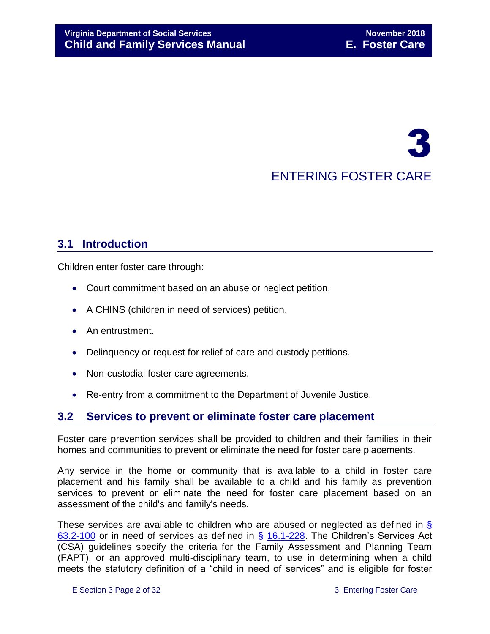# 3 ENTERING FOSTER CARE

### <span id="page-1-0"></span>**3.1 Introduction**

Children enter foster care through:

- Court commitment based on an abuse or neglect petition.
- A CHINS (children in need of services) petition.
- An entrustment.
- Delinquency or request for relief of care and custody petitions.
- Non-custodial foster care agreements.
- Re-entry from a commitment to the Department of Juvenile Justice.

#### <span id="page-1-1"></span>**3.2 Services to prevent or eliminate foster care placement**

Foster care prevention services shall be provided to children and their families in their homes and communities to prevent or eliminate the need for foster care placements.

Any service in the home or community that is available to a child in foster care placement and his family shall be available to a child and his family as prevention services to prevent or eliminate the need for foster care placement based on an assessment of the child's and family's needs.

These services are available to children who are abused or neglected as defined in § [63.2-100](http://law.lis.virginia.gov/vacode/63.2-100/) or in need of services as defined in § [16.1-228.](http://law.lis.virginia.gov/vacode/16.1-228/) The Children's Services Act (CSA) guidelines specify the criteria for the Family Assessment and Planning Team (FAPT), or an approved multi-disciplinary team, to use in determining when a child meets the statutory definition of a "child in need of services" and is eligible for foster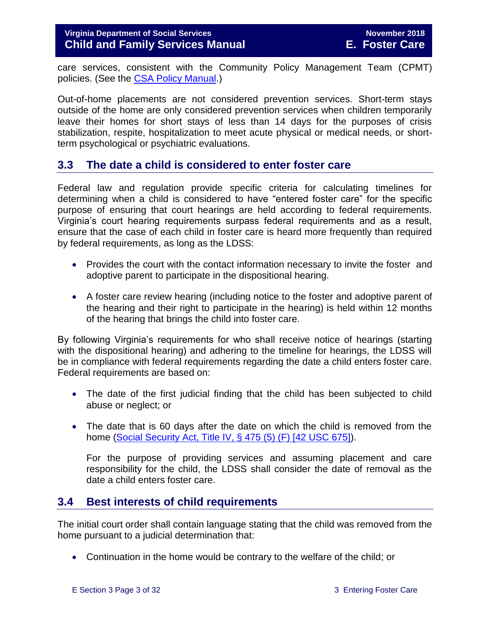care services, consistent with the Community Policy Management Team (CPMT) policies. (See the [CSA Policy Manual.](http://www.csa.virginia.gov/CSAManual.cfm))

Out-of-home placements are not considered prevention services. Short-term stays outside of the home are only considered prevention services when children temporarily leave their homes for short stays of less than 14 days for the purposes of crisis stabilization, respite, hospitalization to meet acute physical or medical needs, or shortterm psychological or psychiatric evaluations.

#### <span id="page-2-0"></span>**3.3 The date a child is considered to enter foster care**

Federal law and regulation provide specific criteria for calculating timelines for determining when a child is considered to have "entered foster care" for the specific purpose of ensuring that court hearings are held according to federal requirements. Virginia's court hearing requirements surpass federal requirements and as a result, ensure that the case of each child in foster care is heard more frequently than required by federal requirements, as long as the LDSS:

- Provides the court with the contact information necessary to invite the foster and adoptive parent to participate in the dispositional hearing.
- A foster care review hearing (including notice to the foster and adoptive parent of the hearing and their right to participate in the hearing) is held within 12 months of the hearing that brings the child into foster care.

By following Virginia's requirements for who shall receive notice of hearings (starting with the dispositional hearing) and adhering to the timeline for hearings, the LDSS will be in compliance with federal requirements regarding the date a child enters foster care. Federal requirements are based on:

- The date of the first judicial finding that the child has been subjected to child abuse or neglect; or
- The date that is 60 days after the date on which the child is removed from the home [\(Social Security Act, Title IV, § 475 \(5\) \(F\) \[42 USC 675\]\)](http://www.ssa.gov/OP_Home/ssact/title04/0475.htm).

For the purpose of providing services and assuming placement and care responsibility for the child, the LDSS shall consider the date of removal as the date a child enters foster care.

#### <span id="page-2-1"></span>**3.4 Best interests of child requirements**

The initial court order shall contain language stating that the child was removed from the home pursuant to a judicial determination that:

Continuation in the home would be contrary to the welfare of the child; or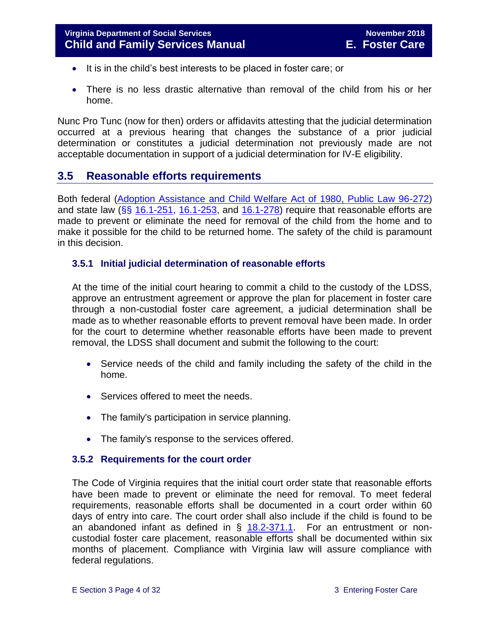- It is in the child's best interests to be placed in foster care; or
- There is no less drastic alternative than removal of the child from his or her home.

Nunc Pro Tunc (now for then) orders or affidavits attesting that the judicial determination occurred at a previous hearing that changes the substance of a prior judicial determination or constitutes a judicial determination not previously made are not acceptable documentation in support of a judicial determination for IV-E eligibility.

#### <span id="page-3-0"></span>**3.5 Reasonable efforts requirements**

Both federal [\(Adoption Assistance and Child Welfare Act of 1980, Public Law 96-272\)](http://www.ssa.gov/OP_Home/comp2/F096-272.html) and state law (§§ [16.1-251,](http://law.lis.virginia.gov/vacode/16.1-251/) [16.1-253,](http://law.lis.virginia.gov/vacode/title16.1/chapter11/section16.1-253/) and [16.1-278\)](http://law.lis.virginia.gov/vacode/16.1-278/) require that reasonable efforts are made to prevent or eliminate the need for removal of the child from the home and to make it possible for the child to be returned home. The safety of the child is paramount in this decision.

#### <span id="page-3-1"></span>**3.5.1 Initial judicial determination of reasonable efforts**

At the time of the initial court hearing to commit a child to the custody of the LDSS, approve an entrustment agreement or approve the plan for placement in foster care through a non-custodial foster care agreement, a judicial determination shall be made as to whether reasonable efforts to prevent removal have been made. In order for the court to determine whether reasonable efforts have been made to prevent removal, the LDSS shall document and submit the following to the court:

- Service needs of the child and family including the safety of the child in the home.
- Services offered to meet the needs.
- The family's participation in service planning.
- The family's response to the services offered.

#### <span id="page-3-2"></span>**3.5.2 Requirements for the court order**

The Code of Virginia requires that the initial court order state that reasonable efforts have been made to prevent or eliminate the need for removal. To meet federal requirements, reasonable efforts shall be documented in a court order within 60 days of entry into care. The court order shall also include if the child is found to be an abandoned infant as defined in  $\S$  [18.2-371.1.](http://law.lis.virginia.gov/vacode/18.2-371.1/) For an entrustment or noncustodial foster care placement, reasonable efforts shall be documented within six months of placement. Compliance with Virginia law will assure compliance with federal regulations.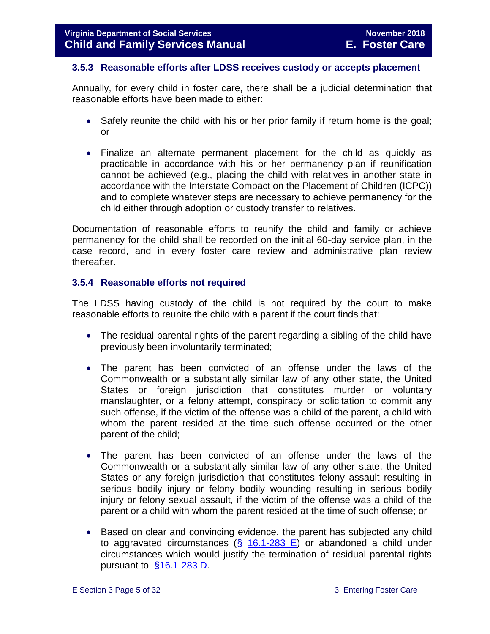#### <span id="page-4-0"></span>**3.5.3 Reasonable efforts after LDSS receives custody or accepts placement**

Annually, for every child in foster care, there shall be a judicial determination that reasonable efforts have been made to either:

- Safely reunite the child with his or her prior family if return home is the goal: or
- Finalize an alternate permanent placement for the child as quickly as practicable in accordance with his or her permanency plan if reunification cannot be achieved (e.g., placing the child with relatives in another state in accordance with the Interstate Compact on the Placement of Children (ICPC)) and to complete whatever steps are necessary to achieve permanency for the child either through adoption or custody transfer to relatives.

Documentation of reasonable efforts to reunify the child and family or achieve permanency for the child shall be recorded on the initial 60-day service plan, in the case record, and in every foster care review and administrative plan review thereafter.

#### <span id="page-4-1"></span>**3.5.4 Reasonable efforts not required**

The LDSS having custody of the child is not required by the court to make reasonable efforts to reunite the child with a parent if the court finds that:

- The residual parental rights of the parent regarding a sibling of the child have previously been involuntarily terminated;
- The parent has been convicted of an offense under the laws of the Commonwealth or a substantially similar law of any other state, the United States or foreign jurisdiction that constitutes murder or voluntary manslaughter, or a felony attempt, conspiracy or solicitation to commit any such offense, if the victim of the offense was a child of the parent, a child with whom the parent resided at the time such offense occurred or the other parent of the child;
- The parent has been convicted of an offense under the laws of the Commonwealth or a substantially similar law of any other state, the United States or any foreign jurisdiction that constitutes felony assault resulting in serious bodily injury or felony bodily wounding resulting in serious bodily injury or felony sexual assault, if the victim of the offense was a child of the parent or a child with whom the parent resided at the time of such offense; or
- Based on clear and convincing evidence, the parent has subjected any child to aggravated circumstances (§ [16.1-283 E\)](http://law.lis.virginia.gov/vacode/16.1-283/) or abandoned a child under circumstances which would justify the termination of residual parental rights pursuant to  $§16.1-283$  D.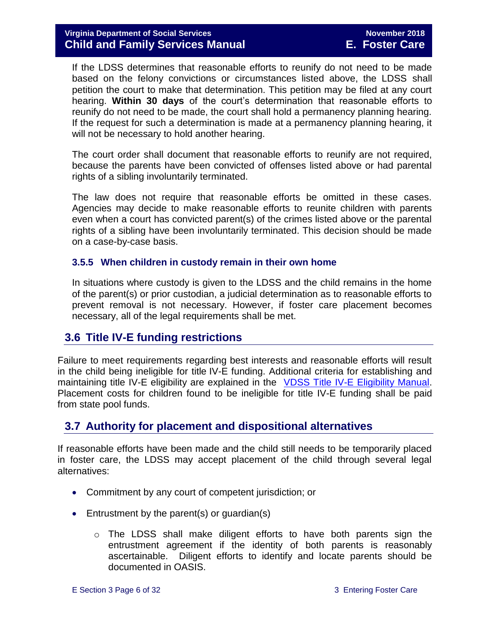If the LDSS determines that reasonable efforts to reunify do not need to be made based on the felony convictions or circumstances listed above, the LDSS shall petition the court to make that determination. This petition may be filed at any court hearing. **Within 30 days** of the court's determination that reasonable efforts to reunify do not need to be made, the court shall hold a permanency planning hearing. If the request for such a determination is made at a permanency planning hearing, it will not be necessary to hold another hearing.

The court order shall document that reasonable efforts to reunify are not required, because the parents have been convicted of offenses listed above or had parental rights of a sibling involuntarily terminated.

The law does not require that reasonable efforts be omitted in these cases. Agencies may decide to make reasonable efforts to reunite children with parents even when a court has convicted parent(s) of the crimes listed above or the parental rights of a sibling have been involuntarily terminated. This decision should be made on a case-by-case basis.

#### <span id="page-5-0"></span>**3.5.5 When children in custody remain in their own home**

In situations where custody is given to the LDSS and the child remains in the home of the parent(s) or prior custodian, a judicial determination as to reasonable efforts to prevent removal is not necessary. However, if foster care placement becomes necessary, all of the legal requirements shall be met.

#### <span id="page-5-1"></span>**3.6 Title IV-E funding restrictions**

Failure to meet requirements regarding best interests and reasonable efforts will result in the child being ineligible for title IV-E funding. Additional criteria for establishing and maintaining title IV-E eligibility are explained in the [VDSS Title IV-E Eligibility Manual.](http://www.dss.virginia.gov/files/division/dfs/iv_e/manuals/title_IV-E_Foster_Care_Manual_July_2016.pdf) Placement costs for children found to be ineligible for title IV-E funding shall be paid from state pool funds.

#### <span id="page-5-2"></span>**3.7 Authority for placement and dispositional alternatives**

If reasonable efforts have been made and the child still needs to be temporarily placed in foster care, the LDSS may accept placement of the child through several legal alternatives:

- Commitment by any court of competent jurisdiction; or
- Entrustment by the parent(s) or guardian(s)
	- $\circ$  The LDSS shall make diligent efforts to have both parents sign the entrustment agreement if the identity of both parents is reasonably ascertainable. Diligent efforts to identify and locate parents should be documented in OASIS.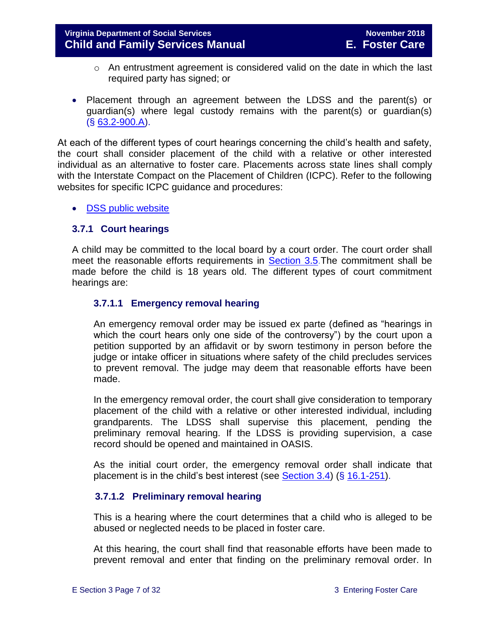- o An entrustment agreement is considered valid on the date in which the last required party has signed; or
- Placement through an agreement between the LDSS and the parent(s) or guardian(s) where legal custody remains with the parent(s) or guardian(s) (§ [63.2-900.A\)](http://law.lis.virginia.gov/vacode/63.2-900/).

At each of the different types of court hearings concerning the child's health and safety, the court shall consider placement of the child with a relative or other interested individual as an alternative to foster care. Placements across state lines shall comply with the Interstate Compact on the Placement of Children (ICPC). Refer to the following websites for specific ICPC guidance and procedures:

• [DSS public website](http://www.dss.virginia.gov/family/icpc/index.cgi)

#### <span id="page-6-0"></span>**3.7.1 Court hearings**

A child may be committed to the local board by a court order. The court order shall meet the reasonable efforts requirements in [Section 3.5.](#page-3-0)The commitment shall be made before the child is 18 years old. The different types of court commitment hearings are:

#### **3.7.1.1 Emergency removal hearing**

An emergency removal order may be issued ex parte (defined as "hearings in which the court hears only one side of the controversy") by the court upon a petition supported by an affidavit or by sworn testimony in person before the judge or intake officer in situations where safety of the child precludes services to prevent removal. The judge may deem that reasonable efforts have been made.

In the emergency removal order, the court shall give consideration to temporary placement of the child with a relative or other interested individual, including grandparents. The LDSS shall supervise this placement, pending the preliminary removal hearing. If the LDSS is providing supervision, a case record should be opened and maintained in OASIS.

As the initial court order, the emergency removal order shall indicate that placement is in the child's best interest (see [Section 3.4\)](#page-2-1) (§ [16.1-251\)](http://law.lis.virginia.gov/vacode/16.1-251/).

#### **3.7.1.2 Preliminary removal hearing**

This is a hearing where the court determines that a child who is alleged to be abused or neglected needs to be placed in foster care.

At this hearing, the court shall find that reasonable efforts have been made to prevent removal and enter that finding on the preliminary removal order. In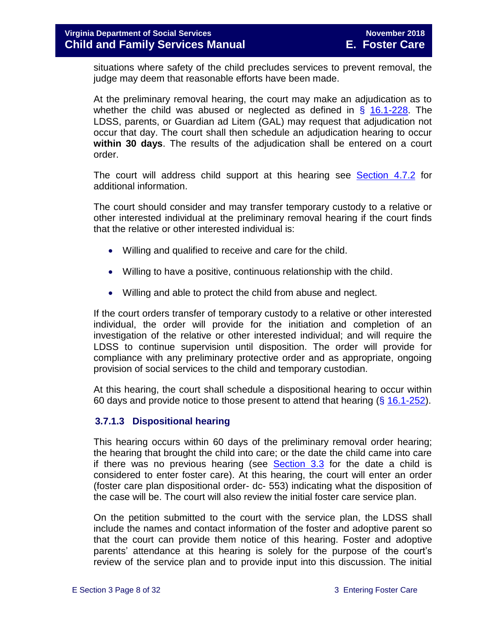situations where safety of the child precludes services to prevent removal, the judge may deem that reasonable efforts have been made.

At the preliminary removal hearing, the court may make an adjudication as to whether the child was abused or neglected as defined in  $\S$  [16.1-228.](http://law.lis.virginia.gov/vacode/16.1-228/) The LDSS, parents, or Guardian ad Litem (GAL) may request that adjudication not occur that day. The court shall then schedule an adjudication hearing to occur **within 30 days**. The results of the adjudication shall be entered on a court order.

The court will address child support at this hearing see [Section](file://///Vaultcelerra.co.dss.state.va.us/Workgroup/Family_Services/DFS%20Child%20and%20Family%20Services%20Manual/E.%20Foster%20Care/Foster%20Care%20June%202017/section_4_opening_and_maintaining_case.docx) 4.7.2 for additional information.

The court should consider and may transfer temporary custody to a relative or other interested individual at the preliminary removal hearing if the court finds that the relative or other interested individual is:

- Willing and qualified to receive and care for the child.
- Willing to have a positive, continuous relationship with the child.
- Willing and able to protect the child from abuse and neglect.

If the court orders transfer of temporary custody to a relative or other interested individual, the order will provide for the initiation and completion of an investigation of the relative or other interested individual; and will require the LDSS to continue supervision until disposition. The order will provide for compliance with any preliminary protective order and as appropriate, ongoing provision of social services to the child and temporary custodian.

At this hearing, the court shall schedule a dispositional hearing to occur within 60 days and provide notice to those present to attend that hearing  $(\S 16.1-252)$  $(\S 16.1-252)$ .

#### **3.7.1.3 Dispositional hearing**

This hearing occurs within 60 days of the preliminary removal order hearing; the hearing that brought the child into care; or the date the child came into care if there was no previous hearing (see  $Section 3.3$  for the date a child is considered to enter foster care). At this hearing, the court will enter an order (foster care plan dispositional order- dc- 553) indicating what the disposition of the case will be. The court will also review the initial foster care service plan.

On the petition submitted to the court with the service plan, the LDSS shall include the names and contact information of the foster and adoptive parent so that the court can provide them notice of this hearing. Foster and adoptive parents' attendance at this hearing is solely for the purpose of the court's review of the service plan and to provide input into this discussion. The initial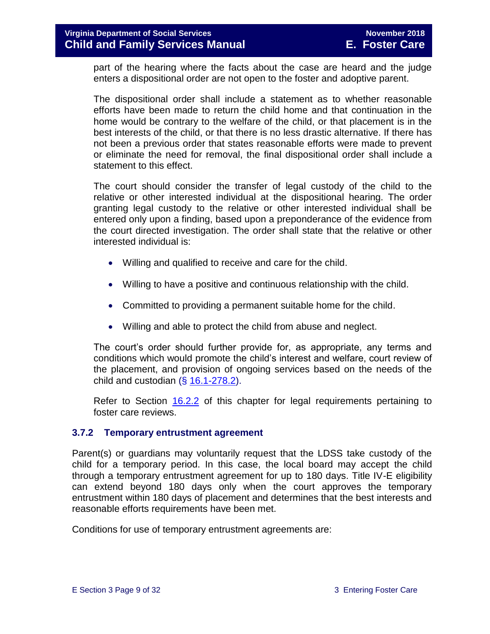#### **Virginia Department of Social Services November 2018 Child and Family Services Manual E. Foster Care**

part of the hearing where the facts about the case are heard and the judge enters a dispositional order are not open to the foster and adoptive parent.

The dispositional order shall include a statement as to whether reasonable efforts have been made to return the child home and that continuation in the home would be contrary to the welfare of the child, or that placement is in the best interests of the child, or that there is no less drastic alternative. If there has not been a previous order that states reasonable efforts were made to prevent or eliminate the need for removal, the final dispositional order shall include a statement to this effect.

The court should consider the transfer of legal custody of the child to the relative or other interested individual at the dispositional hearing. The order granting legal custody to the relative or other interested individual shall be entered only upon a finding, based upon a preponderance of the evidence from the court directed investigation. The order shall state that the relative or other interested individual is:

- Willing and qualified to receive and care for the child.
- Willing to have a positive and continuous relationship with the child.
- Committed to providing a permanent suitable home for the child.
- Willing and able to protect the child from abuse and neglect.

The court's order should further provide for, as appropriate, any terms and conditions which would promote the child's interest and welfare, court review of the placement, and provision of ongoing services based on the needs of the child and custodian  $(\S 16.1-278.2)$  $(\S 16.1-278.2)$ .

Refer to Section [16.2.2](file://///Vaultcelerra.co.dss.state.va.us/Workgroup/Family_Services/DFS%20Child%20and%20Family%20Services%20Manual/E.%20Foster%20Care/Foster%20Care%20June%202017/section_16_judicial_hearings_and_mandated_foster_care_reviews.docx) of this chapter for legal requirements pertaining to foster care reviews.

#### <span id="page-8-0"></span>**3.7.2 Temporary entrustment agreement**

Parent(s) or guardians may voluntarily request that the LDSS take custody of the child for a temporary period. In this case, the local board may accept the child through a temporary entrustment agreement for up to 180 days. Title IV-E eligibility can extend beyond 180 days only when the court approves the temporary entrustment within 180 days of placement and determines that the best interests and reasonable efforts requirements have been met.

Conditions for use of temporary entrustment agreements are: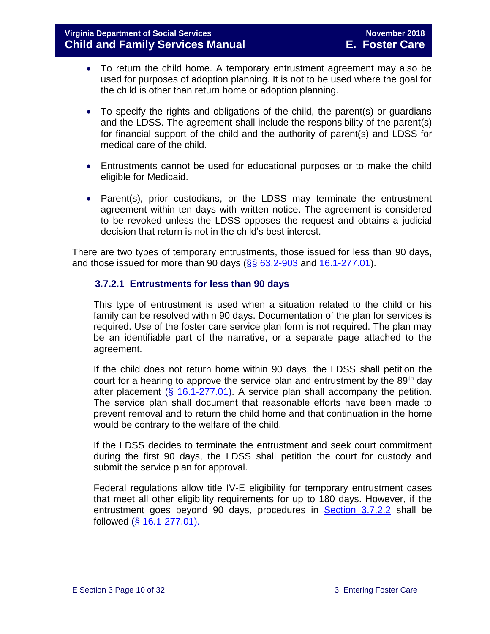- To return the child home. A temporary entrustment agreement may also be used for purposes of adoption planning. It is not to be used where the goal for the child is other than return home or adoption planning.
- To specify the rights and obligations of the child, the parent(s) or guardians and the LDSS. The agreement shall include the responsibility of the parent(s) for financial support of the child and the authority of parent(s) and LDSS for medical care of the child.
- Entrustments cannot be used for educational purposes or to make the child eligible for Medicaid.
- Parent(s), prior custodians, or the LDSS may terminate the entrustment agreement within ten days with written notice. The agreement is considered to be revoked unless the LDSS opposes the request and obtains a judicial decision that return is not in the child's best interest.

There are two types of temporary entrustments, those issued for less than 90 days, and those issued for more than 90 days  $(\frac{65}{63.2} - \frac{903}{3})$  and  $\frac{16.1 - 277.01}{3}$ .

#### **3.7.2.1 Entrustments for less than 90 days**

This type of entrustment is used when a situation related to the child or his family can be resolved within 90 days. Documentation of the plan for services is required. Use of the foster care service plan form is not required. The plan may be an identifiable part of the narrative, or a separate page attached to the agreement.

If the child does not return home within 90 days, the LDSS shall petition the court for a hearing to approve the service plan and entrustment by the  $89<sup>th</sup>$  day after placement (§ [16.1-277.01\)](http://law.lis.virginia.gov/vacode/16.1-277.01/). A service plan shall accompany the petition. The service plan shall document that reasonable efforts have been made to prevent removal and to return the child home and that continuation in the home would be contrary to the welfare of the child.

If the LDSS decides to terminate the entrustment and seek court commitment during the first 90 days, the LDSS shall petition the court for custody and submit the service plan for approval.

Federal regulations allow title IV-E eligibility for temporary entrustment cases that meet all other eligibility requirements for up to 180 days. However, if the entrustment goes beyond 90 days, procedures in [Section 3.7.2.2](#page-10-1) shall be followed (§ [16.1-277.01\).](http://law.lis.virginia.gov/vacode/16.1-277.01/)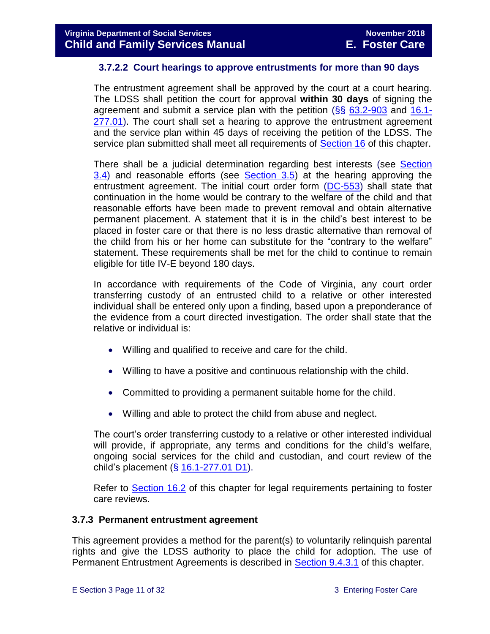#### <span id="page-10-1"></span>**3.7.2.2 Court hearings to approve entrustments for more than 90 days**

The entrustment agreement shall be approved by the court at a court hearing. The LDSS shall petition the court for approval **within 30 days** of signing the agreement and submit a service plan with the petition (§§ [63.2-903](http://law.lis.virginia.gov/vacode/63.2-903/) and [16.1-](http://law.lis.virginia.gov/vacode/16.1-277.01/) [277.01\)](http://law.lis.virginia.gov/vacode/16.1-277.01/). The court shall set a hearing to approve the entrustment agreement and the service plan within 45 days of receiving the petition of the LDSS. The service plan submitted shall meet all requirements of [Section 16](file://///Vaultcelerra.co.dss.state.va.us/Workgroup/Family_Services/DFS%20Child%20and%20Family%20Services%20Manual/E.%20Foster%20Care/Foster%20Care%20June%202017/section_16_judicial_hearings_and_mandated_foster_care_reviews.docx) of this chapter.

There shall be a judicial determination regarding best interests (see [Section](#page-2-1)  [3.4\)](#page-2-1) and reasonable efforts (see [Section 3.5\)](#page-3-0) at the hearing approving the entrustment agreement. The initial court order form [\(DC-553\)](http://spark.dss.virginia.gov/divisions/dfs/forms.cgi) shall state that continuation in the home would be contrary to the welfare of the child and that reasonable efforts have been made to prevent removal and obtain alternative permanent placement. A statement that it is in the child's best interest to be placed in foster care or that there is no less drastic alternative than removal of the child from his or her home can substitute for the "contrary to the welfare" statement. These requirements shall be met for the child to continue to remain eligible for title IV-E beyond 180 days.

In accordance with requirements of the Code of Virginia, any court order transferring custody of an entrusted child to a relative or other interested individual shall be entered only upon a finding, based upon a preponderance of the evidence from a court directed investigation. The order shall state that the relative or individual is:

- Willing and qualified to receive and care for the child.
- Willing to have a positive and continuous relationship with the child.
- Committed to providing a permanent suitable home for the child.
- Willing and able to protect the child from abuse and neglect.

The court's order transferring custody to a relative or other interested individual will provide, if appropriate, any terms and conditions for the child's welfare, ongoing social services for the child and custodian, and court review of the child's placement  $(\S 16.1-277.01 D1)$  $(\S 16.1-277.01 D1)$ .

Refer to [Section 16.2](file://///Vaultcelerra.co.dss.state.va.us/Workgroup/Family_Services/DFS%20Child%20and%20Family%20Services%20Manual/E.%20Foster%20Care/Foster%20Care%20June%202017/section_16_judicial_hearings_and_mandated_foster_care_reviews.docx) of this chapter for legal requirements pertaining to foster care reviews.

#### <span id="page-10-0"></span>**3.7.3 Permanent entrustment agreement**

This agreement provides a method for the parent(s) to voluntarily relinquish parental rights and give the LDSS authority to place the child for adoption. The use of Permanent Entrustment Agreements is described in [Section](file://///Vaultcelerra.co.dss.state.va.us/Workgroup/Family_Services/DFS%20Child%20and%20Family%20Services%20Manual/E.%20Foster%20Care/Foster%20Care%20June%202017/section_9_achieving_permanency_goal_adoption%20draft.docx) 9.4.3.1 of this chapter.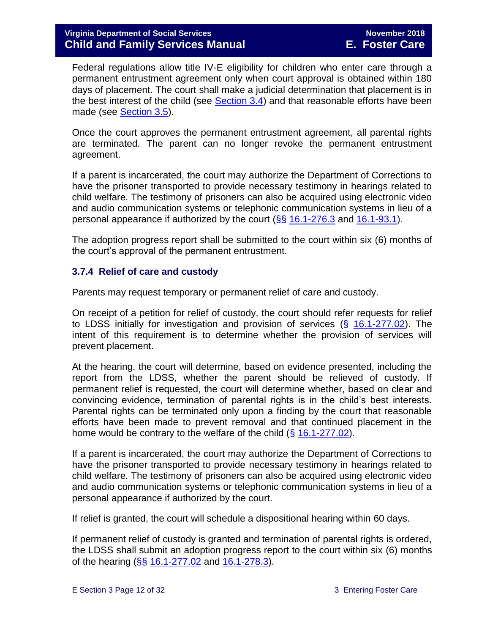Federal regulations allow title IV-E eligibility for children who enter care through a permanent entrustment agreement only when court approval is obtained within 180 days of placement. The court shall make a judicial determination that placement is in the best interest of the child (see [Section 3.4\)](#page-2-1) and that reasonable efforts have been made (see [Section 3.5\)](#page-3-0).

Once the court approves the permanent entrustment agreement, all parental rights are terminated. The parent can no longer revoke the permanent entrustment agreement.

If a parent is incarcerated, the court may authorize the Department of Corrections to have the prisoner transported to provide necessary testimony in hearings related to child welfare. The testimony of prisoners can also be acquired using electronic video and audio communication systems or telephonic communication systems in lieu of a personal appearance if authorized by the court  $(\S\S 16.1-276.3$  $(\S\S 16.1-276.3$  and  $16.1-93.1)$ .

The adoption progress report shall be submitted to the court within six (6) months of the court's approval of the permanent entrustment.

#### <span id="page-11-0"></span>**3.7.4 Relief of care and custody**

Parents may request temporary or permanent relief of care and custody.

On receipt of a petition for relief of custody, the court should refer requests for relief to LDSS initially for investigation and provision of services (§ [16.1-277.02\)](http://law.lis.virginia.gov/vacode/16.1-277.02/). The intent of this requirement is to determine whether the provision of services will prevent placement.

At the hearing, the court will determine, based on evidence presented, including the report from the LDSS, whether the parent should be relieved of custody. If permanent relief is requested, the court will determine whether, based on clear and convincing evidence, termination of parental rights is in the child's best interests. Parental rights can be terminated only upon a finding by the court that reasonable efforts have been made to prevent removal and that continued placement in the home would be contrary to the welfare of the child  $(\S 16.1-277.02)$  $(\S 16.1-277.02)$ .

If a parent is incarcerated, the court may authorize the Department of Corrections to have the prisoner transported to provide necessary testimony in hearings related to child welfare. The testimony of prisoners can also be acquired using electronic video and audio communication systems or telephonic communication systems in lieu of a personal appearance if authorized by the court.

If relief is granted, the court will schedule a dispositional hearing within 60 days.

If permanent relief of custody is granted and termination of parental rights is ordered, the LDSS shall submit an adoption progress report to the court within six (6) months of the hearing (§§ [16.1-277.02](http://law.lis.virginia.gov/vacode/16.1-277.02/) and [16.1-278.3\)](http://law.lis.virginia.gov/vacode/16.1-278.3/).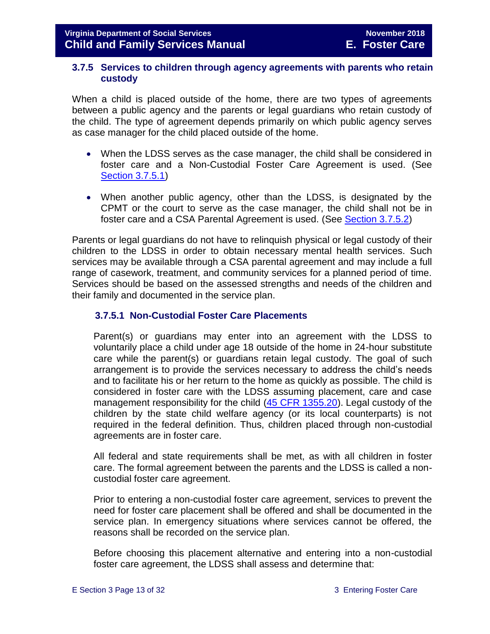#### <span id="page-12-0"></span>**3.7.5 Services to children through agency agreements with parents who retain custody**

When a child is placed outside of the home, there are two types of agreements between a public agency and the parents or legal guardians who retain custody of the child. The type of agreement depends primarily on which public agency serves as case manager for the child placed outside of the home.

- When the LDSS serves as the case manager, the child shall be considered in foster care and a Non-Custodial Foster Care Agreement is used. (See [Section 3.7.5.1\)](#page-13-0)
- When another public agency, other than the LDSS, is designated by the CPMT or the court to serve as the case manager, the child shall not be in foster care and a CSA Parental Agreement is used. (See [Section 3.7.5.2\)](#page-16-0)

Parents or legal guardians do not have to relinquish physical or legal custody of their children to the LDSS in order to obtain necessary mental health services. Such services may be available through a CSA parental agreement and may include a full range of casework, treatment, and community services for a planned period of time. Services should be based on the assessed strengths and needs of the children and their family and documented in the service plan.

#### **3.7.5.1 Non-Custodial Foster Care Placements**

Parent(s) or guardians may enter into an agreement with the LDSS to voluntarily place a child under age 18 outside of the home in 24-hour substitute care while the parent(s) or guardians retain legal custody. The goal of such arrangement is to provide the services necessary to address the child's needs and to facilitate his or her return to the home as quickly as possible. The child is considered in foster care with the LDSS assuming placement, care and case management responsibility for the child [\(45 CFR 1355.20\)](http://edocket.access.gpo.gov/cfr_2002/octqtr/45cfr1355.20.htm). Legal custody of the children by the state child welfare agency (or its local counterparts) is not required in the federal definition. Thus, children placed through non-custodial agreements are in foster care.

All federal and state requirements shall be met, as with all children in foster care. The formal agreement between the parents and the LDSS is called a noncustodial foster care agreement.

Prior to entering a non-custodial foster care agreement, services to prevent the need for foster care placement shall be offered and shall be documented in the service plan. In emergency situations where services cannot be offered, the reasons shall be recorded on the service plan.

Before choosing this placement alternative and entering into a non-custodial foster care agreement, the LDSS shall assess and determine that: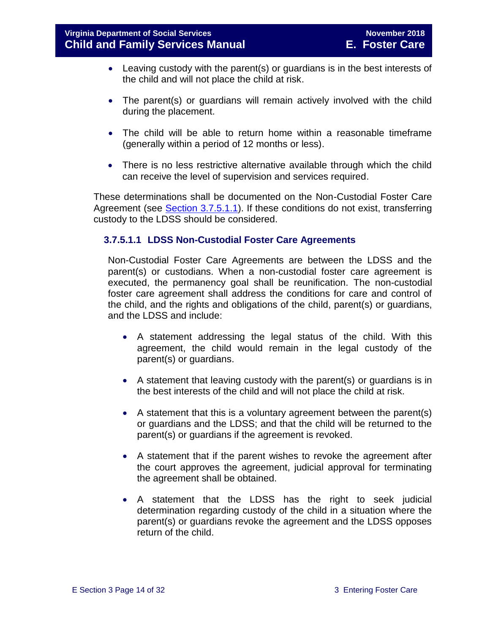- Leaving custody with the parent(s) or guardians is in the best interests of the child and will not place the child at risk.
- The parent(s) or quardians will remain actively involved with the child during the placement.
- The child will be able to return home within a reasonable timeframe (generally within a period of 12 months or less).
- There is no less restrictive alternative available through which the child can receive the level of supervision and services required.

These determinations shall be documented on the Non-Custodial Foster Care Agreement (see [Section 3.7.5.1.1\)](#page-13-0). If these conditions do not exist, transferring custody to the LDSS should be considered.

#### <span id="page-13-0"></span>**3.7.5.1.1 LDSS Non-Custodial Foster Care Agreements**

Non-Custodial Foster Care Agreements are between the LDSS and the parent(s) or custodians. When a non-custodial foster care agreement is executed, the permanency goal shall be reunification. The non-custodial foster care agreement shall address the conditions for care and control of the child, and the rights and obligations of the child, parent(s) or guardians, and the LDSS and include:

- A statement addressing the legal status of the child. With this agreement, the child would remain in the legal custody of the parent(s) or guardians.
- A statement that leaving custody with the parent(s) or guardians is in the best interests of the child and will not place the child at risk.
- A statement that this is a voluntary agreement between the parent(s) or guardians and the LDSS; and that the child will be returned to the parent(s) or guardians if the agreement is revoked.
- A statement that if the parent wishes to revoke the agreement after the court approves the agreement, judicial approval for terminating the agreement shall be obtained.
- A statement that the LDSS has the right to seek judicial determination regarding custody of the child in a situation where the parent(s) or guardians revoke the agreement and the LDSS opposes return of the child.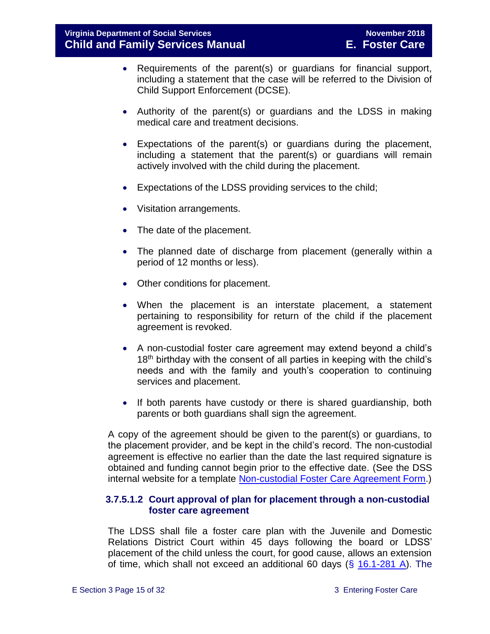- Requirements of the parent(s) or guardians for financial support, including a statement that the case will be referred to the Division of Child Support Enforcement (DCSE).
- Authority of the parent(s) or guardians and the LDSS in making medical care and treatment decisions.
- Expectations of the parent(s) or guardians during the placement, including a statement that the parent(s) or guardians will remain actively involved with the child during the placement.
- Expectations of the LDSS providing services to the child;
- Visitation arrangements.
- The date of the placement.
- The planned date of discharge from placement (generally within a period of 12 months or less).
- Other conditions for placement.
- When the placement is an interstate placement, a statement pertaining to responsibility for return of the child if the placement agreement is revoked.
- A non-custodial foster care agreement may extend beyond a child's  $18<sup>th</sup>$  birthday with the consent of all parties in keeping with the child's needs and with the family and youth's cooperation to continuing services and placement.
- If both parents have custody or there is shared quardianship, both parents or both guardians shall sign the agreement.

A copy of the agreement should be given to the parent(s) or guardians, to the placement provider, and be kept in the child's record. The non-custodial agreement is effective no earlier than the date the last required signature is obtained and funding cannot begin prior to the effective date. (See the DSS internal website for a template [Non-custodial Foster Care Agreement Form.](http://www.localagency.dss.state.va.us/divisions/dfs/fc/forms.cgi))

#### **3.7.5.1.2 Court approval of plan for placement through a non-custodial foster care agreement**

The LDSS shall file a foster care plan with the Juvenile and Domestic Relations District Court within 45 days following the board or LDSS' placement of the child unless the court, for good cause, allows an extension of time, which shall not exceed an additional 60 days (§ [16.1-281 A\)](http://law.lis.virginia.gov/vacode/16.1-281/). The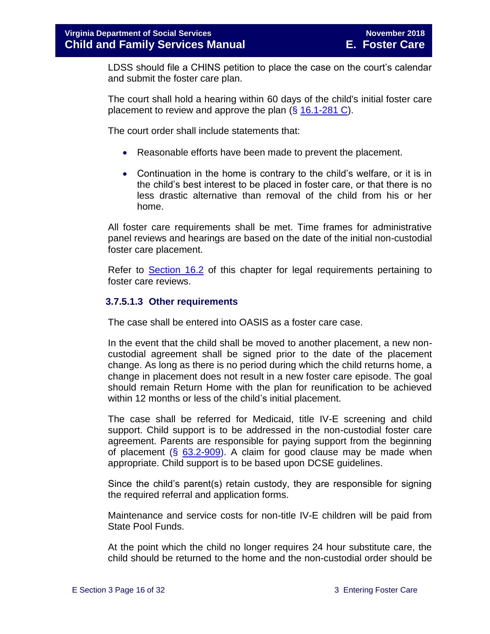LDSS should file a CHINS petition to place the case on the court's calendar and submit the foster care plan.

The court shall hold a hearing within 60 days of the child's initial foster care placement to review and approve the plan (§ [16.1-281 C\)](http://law.lis.virginia.gov/vacode/16.1-281/).

The court order shall include statements that:

- Reasonable efforts have been made to prevent the placement.
- Continuation in the home is contrary to the child's welfare, or it is in the child's best interest to be placed in foster care, or that there is no less drastic alternative than removal of the child from his or her home.

All foster care requirements shall be met. Time frames for administrative panel reviews and hearings are based on the date of the initial non-custodial foster care placement.

Refer to [Section 16.2](file://///Vaultcelerra.co.dss.state.va.us/Workgroup/Family_Services/DFS%20Child%20and%20Family%20Services%20Manual/E.%20Foster%20Care/Foster%20Care%20June%202017/section_16_judicial_hearings_and_mandated_foster_care_reviews.docx) of this chapter for legal requirements pertaining to foster care reviews.

#### **3.7.5.1.3 Other requirements**

The case shall be entered into OASIS as a foster care case.

In the event that the child shall be moved to another placement, a new noncustodial agreement shall be signed prior to the date of the placement change. As long as there is no period during which the child returns home, a change in placement does not result in a new foster care episode. The goal should remain Return Home with the plan for reunification to be achieved within 12 months or less of the child's initial placement.

The case shall be referred for Medicaid, title IV-E screening and child support. Child support is to be addressed in the non-custodial foster care agreement. Parents are responsible for paying support from the beginning of placement  $(\S$  [63.2-909\)](http://law.lis.virginia.gov/vacode/63.2-909/). A claim for good clause may be made when appropriate. Child support is to be based upon DCSE guidelines.

Since the child's parent(s) retain custody, they are responsible for signing the required referral and application forms.

Maintenance and service costs for non-title IV-E children will be paid from State Pool Funds.

At the point which the child no longer requires 24 hour substitute care, the child should be returned to the home and the non-custodial order should be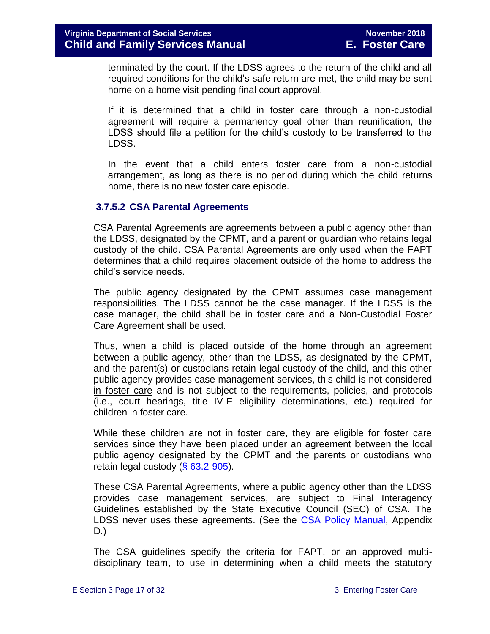terminated by the court. If the LDSS agrees to the return of the child and all required conditions for the child's safe return are met, the child may be sent home on a home visit pending final court approval.

If it is determined that a child in foster care through a non-custodial agreement will require a permanency goal other than reunification, the LDSS should file a petition for the child's custody to be transferred to the LDSS.

In the event that a child enters foster care from a non-custodial arrangement, as long as there is no period during which the child returns home, there is no new foster care episode.

#### <span id="page-16-0"></span>**3.7.5.2 CSA Parental Agreements**

CSA Parental Agreements are agreements between a public agency other than the LDSS, designated by the CPMT, and a parent or guardian who retains legal custody of the child. CSA Parental Agreements are only used when the FAPT determines that a child requires placement outside of the home to address the child's service needs.

The public agency designated by the CPMT assumes case management responsibilities. The LDSS cannot be the case manager. If the LDSS is the case manager, the child shall be in foster care and a Non-Custodial Foster Care Agreement shall be used.

Thus, when a child is placed outside of the home through an agreement between a public agency, other than the LDSS, as designated by the CPMT, and the parent(s) or custodians retain legal custody of the child, and this other public agency provides case management services, this child is not considered in foster care and is not subject to the requirements, policies, and protocols (i.e., court hearings, title IV-E eligibility determinations, etc.) required for children in foster care.

While these children are not in foster care, they are eligible for foster care services since they have been placed under an agreement between the local public agency designated by the CPMT and the parents or custodians who retain legal custody  $(\S 63.2 - 905)$ .

These CSA Parental Agreements, where a public agency other than the LDSS provides case management services, are subject to Final Interagency Guidelines established by the State Executive Council (SEC) of CSA. The LDSS never uses these agreements. (See the [CSA Policy Manual,](http://www.csa.virginia.gov/CSAManual.cfm) Appendix D.)

The CSA guidelines specify the criteria for FAPT, or an approved multidisciplinary team, to use in determining when a child meets the statutory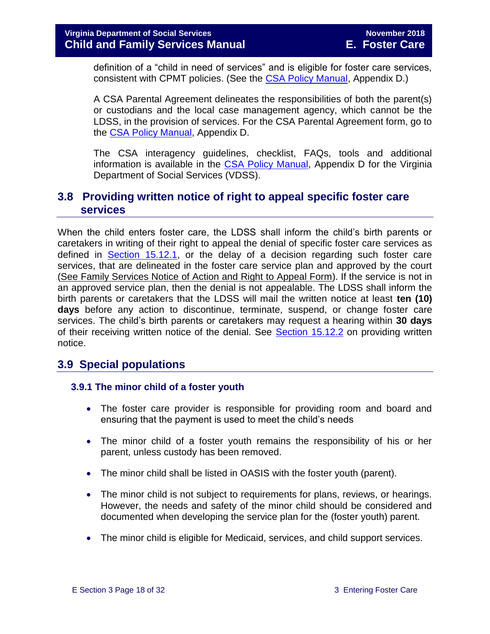definition of a "child in need of services" and is eligible for foster care services, consistent with CPMT policies. (See the [CSA Policy Manual,](http://www.csa.virginia.gov/CSAManual.cfm) Appendix D.)

A CSA Parental Agreement delineates the responsibilities of both the parent(s) or custodians and the local case management agency, which cannot be the LDSS, in the provision of services. For the CSA Parental Agreement form, go to the [CSA Policy Manual,](http://www.csa.virginia.gov/CSAManual.cfm) Appendix D.

The CSA interagency guidelines, checklist, FAQs, tools and additional information is available in the [CSA Policy Manual,](http://www.csa.virginia.gov/CSAManual.cfm) Appendix D for the Virginia Department of Social Services (VDSS).

#### <span id="page-17-0"></span>**3.8 Providing written notice of right to appeal specific foster care services**

When the child enters foster care, the LDSS shall inform the child's birth parents or caretakers in writing of their right to appeal the denial of specific foster care services as defined in [Section 15.12.1,](file://///Vaultcelerra.co.dss.state.va.us/Workgroup/Family_Services/DFS%20Child%20and%20Family%20Services%20Manual/E.%20Foster%20Care/Foster%20Care%20June%202017/section_15_developing_service_plan.draft.docx) or the delay of a decision regarding such foster care services, that are delineated in the foster care service plan and approved by the court [\(See Family Services Notice of Action and Right to Appeal Form\)](http://www.dss.virginia.gov/files/division/dfs/fc/intro_page/forms/032-02-0669-00-eng.pdf). If the service is not in an approved service plan, then the denial is not appealable. The LDSS shall inform the birth parents or caretakers that the LDSS will mail the written notice at least **ten (10) days** before any action to discontinue, terminate, suspend, or change foster care services. The child's birth parents or caretakers may request a hearing within **30 days** of their receiving written notice of the denial. See [Section 15.12.2](file://///Vaultcelerra.co.dss.state.va.us/Workgroup/Family_Services/DFS%20Child%20and%20Family%20Services%20Manual/E.%20Foster%20Care/Foster%20Care%20June%202017/section_15_developing_service_plan.draft.docx) on providing written notice.

#### <span id="page-17-1"></span>**3.9 Special populations**

#### <span id="page-17-2"></span> **3.9.1 The minor child of a foster youth**

- The foster care provider is responsible for providing room and board and ensuring that the payment is used to meet the child's needs
- The minor child of a foster youth remains the responsibility of his or her parent, unless custody has been removed.
- The minor child shall be listed in OASIS with the foster youth (parent).
- The minor child is not subject to requirements for plans, reviews, or hearings. However, the needs and safety of the minor child should be considered and documented when developing the service plan for the (foster youth) parent.
- The minor child is eligible for Medicaid, services, and child support services.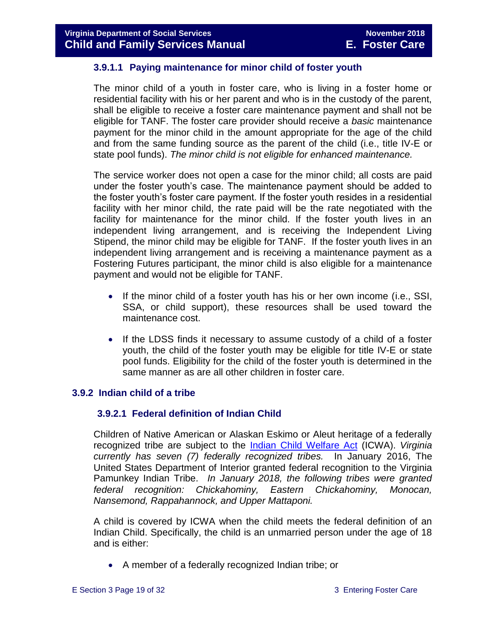#### **3.9.1.1 Paying maintenance for minor child of foster youth**

The minor child of a youth in foster care, who is living in a foster home or residential facility with his or her parent and who is in the custody of the parent, shall be eligible to receive a foster care maintenance payment and shall not be eligible for TANF. The foster care provider should receive a *basic* maintenance payment for the minor child in the amount appropriate for the age of the child and from the same funding source as the parent of the child (i.e., title IV-E or state pool funds). *The minor child is not eligible for enhanced maintenance.* 

The service worker does not open a case for the minor child; all costs are paid under the foster youth's case. The maintenance payment should be added to the foster youth's foster care payment. If the foster youth resides in a residential facility with her minor child, the rate paid will be the rate negotiated with the facility for maintenance for the minor child. If the foster youth lives in an independent living arrangement, and is receiving the Independent Living Stipend, the minor child may be eligible for TANF. If the foster youth lives in an independent living arrangement and is receiving a maintenance payment as a Fostering Futures participant, the minor child is also eligible for a maintenance payment and would not be eligible for TANF.

- If the minor child of a foster youth has his or her own income (i.e., SSI, SSA, or child support), these resources shall be used toward the maintenance cost.
- If the LDSS finds it necessary to assume custody of a child of a foster youth, the child of the foster youth may be eligible for title IV-E or state pool funds. Eligibility for the child of the foster youth is determined in the same manner as are all other children in foster care.

#### <span id="page-18-0"></span>**3.9.2 Indian child of a tribe**

#### **3.9.2.1 Federal definition of Indian Child**

Children of Native American or Alaskan Eskimo or Aleut heritage of a federally recognized tribe are subject to the [Indian Child Welfare Act](http://www.gpo.gov/fdsys/pkg/USCODE-2010-title25/pdf/USCODE-2010-title25-chap21.pdf) (ICWA). *Virginia currently has seven (7) federally recognized tribes.* In January 2016, The United States Department of Interior granted federal recognition to the Virginia Pamunkey Indian Tribe. *In January 2018, the following tribes were granted federal recognition: Chickahominy, Eastern Chickahominy, Monocan, Nansemond, Rappahannock, and Upper Mattaponi.*

A child is covered by ICWA when the child meets the federal definition of an Indian Child. Specifically, the child is an unmarried person under the age of 18 and is either:

A member of a federally recognized Indian tribe; or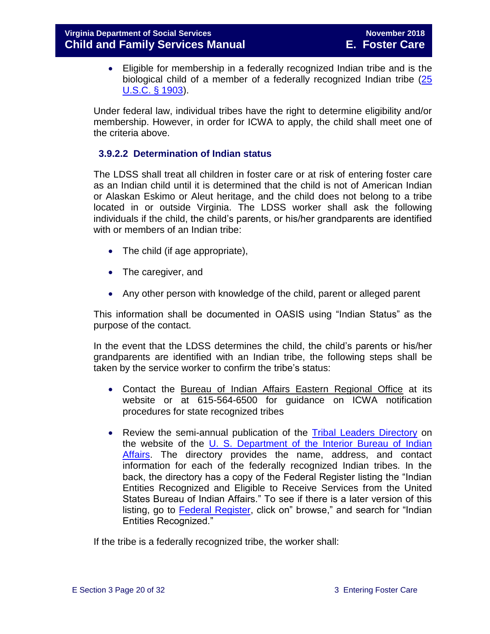Eligible for membership in a federally recognized Indian tribe and is the biological child of a member of a federally recognized Indian tribe [\(25](http://www.gpo.gov/fdsys/pkg/USCODE-2011-title25/pdf/USCODE-2011-title25-chap21.pdf)  [U.S.C. § 1903\)](http://www.gpo.gov/fdsys/pkg/USCODE-2011-title25/pdf/USCODE-2011-title25-chap21.pdf).

Under federal law, individual tribes have the right to determine eligibility and/or membership. However, in order for ICWA to apply, the child shall meet one of the criteria above.

#### **3.9.2.2 Determination of Indian status**

The LDSS shall treat all children in foster care or at risk of entering foster care as an Indian child until it is determined that the child is not of American Indian or Alaskan Eskimo or Aleut heritage, and the child does not belong to a tribe located in or outside Virginia. The LDSS worker shall ask the following individuals if the child, the child's parents, or his/her grandparents are identified with or members of an Indian tribe:

- The child (if age appropriate),
- The caregiver, and
- Any other person with knowledge of the child, parent or alleged parent

This information shall be documented in OASIS using "Indian Status" as the purpose of the contact.

In the event that the LDSS determines the child, the child's parents or his/her grandparents are identified with an Indian tribe, the following steps shall be taken by the service worker to confirm the tribe's status:

- Contact the [Bureau of Indian Affairs Eastern Regional Office](http://www.bia.gov/WhoWeAre/RegionalOffices/Eastern/index.htm) at its website or at 615-564-6500 for guidance on ICWA notification procedures for state recognized tribes
- Review the semi-annual publication of the [Tribal Leaders Directory](http://www.bia.gov/WhoWeAre/BIA/OIS/TribalGovernmentServices/TribalDirectory/index.htm) on the website of the [U. S. Department of the Interior Bureau of Indian](http://www.bia.gov/)  [Affairs.](http://www.bia.gov/) The directory provides the name, address, and contact information for each of the federally recognized Indian tribes. In the back, the directory has a copy of the Federal Register listing the "Indian Entities Recognized and Eligible to Receive Services from the United States Bureau of Indian Affairs." To see if there is a later version of this listing, go to **Federal Register**, click on" browse," and search for "Indian Entities Recognized."

If the tribe is a federally recognized tribe, the worker shall: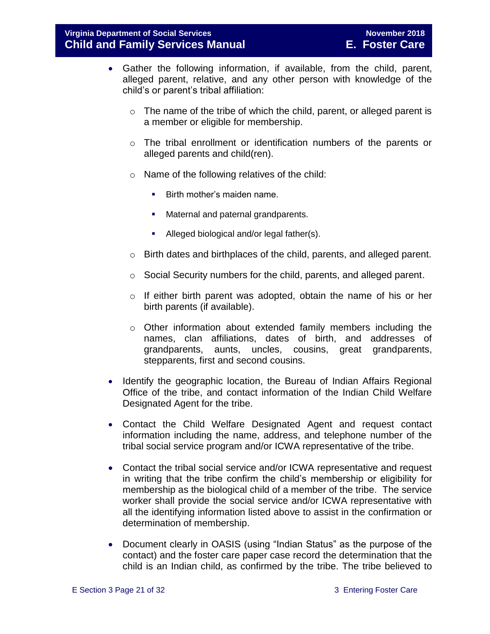- Gather the following information, if available, from the child, parent, alleged parent, relative, and any other person with knowledge of the child's or parent's tribal affiliation:
	- o The name of the tribe of which the child, parent, or alleged parent is a member or eligible for membership.
	- o The tribal enrollment or identification numbers of the parents or alleged parents and child(ren).
	- o Name of the following relatives of the child:
		- **Birth mother's maiden name.**
		- Maternal and paternal grandparents.
		- Alleged biological and/or legal father(s).
	- o Birth dates and birthplaces of the child, parents, and alleged parent.
	- o Social Security numbers for the child, parents, and alleged parent.
	- o If either birth parent was adopted, obtain the name of his or her birth parents (if available).
	- o Other information about extended family members including the names, clan affiliations, dates of birth, and addresses of grandparents, aunts, uncles, cousins, great grandparents, stepparents, first and second cousins.
- Identify the geographic location, the Bureau of Indian Affairs Regional Office of the tribe, and contact information of the Indian Child Welfare Designated Agent for the tribe.
- Contact the Child Welfare Designated Agent and request contact information including the name, address, and telephone number of the tribal social service program and/or ICWA representative of the tribe.
- Contact the tribal social service and/or ICWA representative and request in writing that the tribe confirm the child's membership or eligibility for membership as the biological child of a member of the tribe. The service worker shall provide the social service and/or ICWA representative with all the identifying information listed above to assist in the confirmation or determination of membership.
- Document clearly in OASIS (using "Indian Status" as the purpose of the contact) and the foster care paper case record the determination that the child is an Indian child, as confirmed by the tribe. The tribe believed to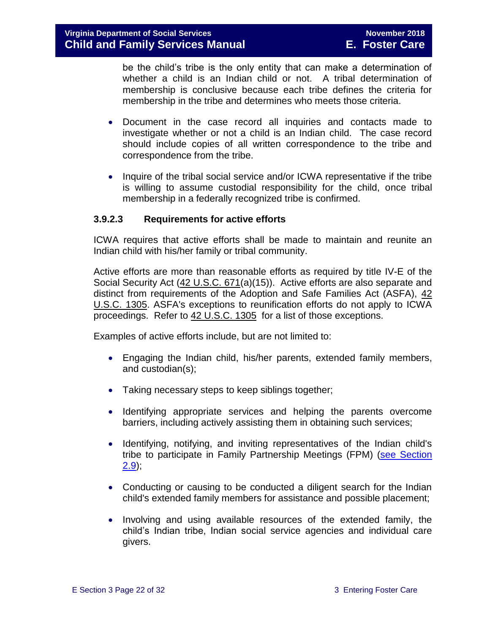be the child's tribe is the only entity that can make a determination of whether a child is an Indian child or not. A tribal determination of membership is conclusive because each tribe defines the criteria for membership in the tribe and determines who meets those criteria.

- Document in the case record all inquiries and contacts made to investigate whether or not a child is an Indian child. The case record should include copies of all written correspondence to the tribe and correspondence from the tribe.
- Inquire of the tribal social service and/or ICWA representative if the tribe is willing to assume custodial responsibility for the child, once tribal membership in a federally recognized tribe is confirmed.

#### **3.9.2.3 Requirements for active efforts**

ICWA requires that active efforts shall be made to maintain and reunite an Indian child with his/her family or tribal community.

Active efforts are more than reasonable efforts as required by title IV-E of the Social Security Act [\(42 U.S.C. 671\(](http://api.fdsys.gov/link?collection=uscode&title=42&year=mostrecent§ion=671&type=usc&link-type=html)a)(15)). Active efforts are also separate and distinct from requirements of the Adoption and Safe Families Act (ASFA), [42](http://api.fdsys.gov/link?collection=uscode&title=42&year=mostrecent§ion=1305&type=usc&link-type=html)  [U.S.C. 1305.](http://api.fdsys.gov/link?collection=uscode&title=42&year=mostrecent§ion=1305&type=usc&link-type=html) ASFA's exceptions to reunification efforts do not apply to ICWA proceedings. Refer to [42 U.S.C. 1305](http://api.fdsys.gov/link?collection=uscode&title=42&year=mostrecent§ion=1305&type=usc&link-type=html) for a list of those exceptions.

Examples of active efforts include, but are not limited to:

- Engaging the Indian child, his/her parents, extended family members, and custodian(s);
- Taking necessary steps to keep siblings together;
- Identifying appropriate services and helping the parents overcome barriers, including actively assisting them in obtaining such services;
- Identifying, notifying, and inviting representatives of the Indian child's tribe to participate in Family Partnership Meetings (FPM) [\(see Section](file://///Vaultcelerra.co.dss.state.va.us/Workgroup/Family_Services/DFS%20Child%20and%20Family%20Services%20Manual/E.%20Foster%20Care/Foster%20Care%20June%202017/section_2_engaging_the_child_family_and_significant_adults.draft.docx)   $2.9$ ;
- Conducting or causing to be conducted a diligent search for the Indian child's extended family members for assistance and possible placement;
- Involving and using available resources of the extended family, the child's Indian tribe, Indian social service agencies and individual care givers.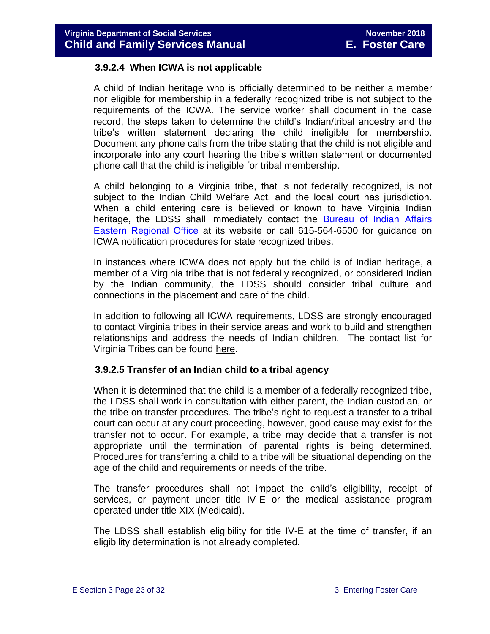#### **3.9.2.4 When ICWA is not applicable**

A child of Indian heritage who is officially determined to be neither a member nor eligible for membership in a federally recognized tribe is not subject to the requirements of the ICWA. The service worker shall document in the case record, the steps taken to determine the child's Indian/tribal ancestry and the tribe's written statement declaring the child ineligible for membership. Document any phone calls from the tribe stating that the child is not eligible and incorporate into any court hearing the tribe's written statement or documented phone call that the child is ineligible for tribal membership.

A child belonging to a Virginia tribe, that is not federally recognized, is not subject to the Indian Child Welfare Act, and the local court has jurisdiction. When a child entering care is believed or known to have Virginia Indian heritage, the LDSS shall immediately contact the **Bureau of Indian Affairs** [Eastern Regional Office](http://www.bia.gov/WhoWeAre/RegionalOffices/Eastern/index.htm) at its website or call 615-564-6500 for guidance on ICWA notification procedures for state recognized tribes.

In instances where ICWA does not apply but the child is of Indian heritage, a member of a Virginia tribe that is not federally recognized, or considered Indian by the Indian community, the LDSS should consider tribal culture and connections in the placement and care of the child.

In addition to following all ICWA requirements, LDSS are strongly encouraged to contact Virginia tribes in their service areas and work to build and strengthen relationships and address the needs of Indian children. The contact list for Virginia Tribes can be found here.

#### **3.9.2.5 Transfer of an Indian child to a tribal agency**

When it is determined that the child is a member of a federally recognized tribe, the LDSS shall work in consultation with either parent, the Indian custodian, or the tribe on transfer procedures. The tribe's right to request a transfer to a tribal court can occur at any court proceeding, however, good cause may exist for the transfer not to occur. For example, a tribe may decide that a transfer is not appropriate until the termination of parental rights is being determined. Procedures for transferring a child to a tribe will be situational depending on the age of the child and requirements or needs of the tribe.

The transfer procedures shall not impact the child's eligibility, receipt of services, or payment under title IV-E or the medical assistance program operated under title XIX (Medicaid).

The LDSS shall establish eligibility for title IV-E at the time of transfer, if an eligibility determination is not already completed.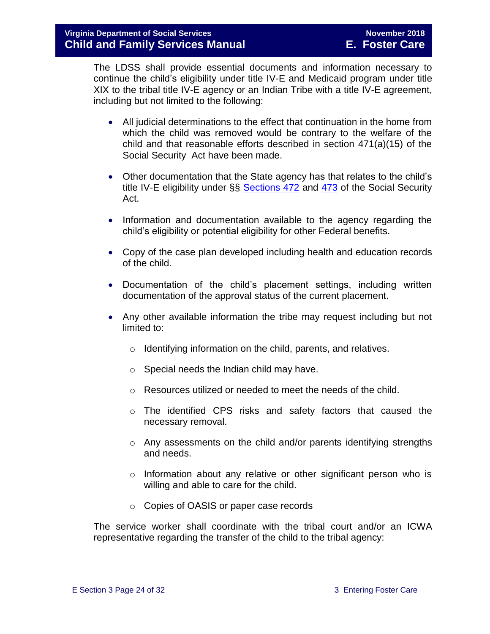The LDSS shall provide essential documents and information necessary to continue the child's eligibility under title IV-E and Medicaid program under title XIX to the tribal title IV-E agency or an Indian Tribe with a title IV-E agreement, including but not limited to the following:

- All judicial determinations to the effect that continuation in the home from which the child was removed would be contrary to the welfare of the child and that reasonable efforts described in section 471(a)(15) of the Social Security Act have been made.
- Other documentation that the State agency has that relates to the child's title IV-E eligibility under §§ [Sections 472](http://www.ssa.gov/OP_Home/ssact/title04/0472.htm) and [473](http://www.socialsecurity.gov/OP_Home/ssact/title04/0473.htm) of the Social Security Act.
- Information and documentation available to the agency regarding the child's eligibility or potential eligibility for other Federal benefits.
- Copy of the case plan developed including health and education records of the child.
- Documentation of the child's placement settings, including written documentation of the approval status of the current placement.
- Any other available information the tribe may request including but not limited to:
	- o Identifying information on the child, parents, and relatives.
	- $\circ$  Special needs the Indian child may have.
	- o Resources utilized or needed to meet the needs of the child.
	- o The identified CPS risks and safety factors that caused the necessary removal.
	- o Any assessments on the child and/or parents identifying strengths and needs.
	- $\circ$  Information about any relative or other significant person who is willing and able to care for the child.
	- o Copies of OASIS or paper case records

The service worker shall coordinate with the tribal court and/or an ICWA representative regarding the transfer of the child to the tribal agency: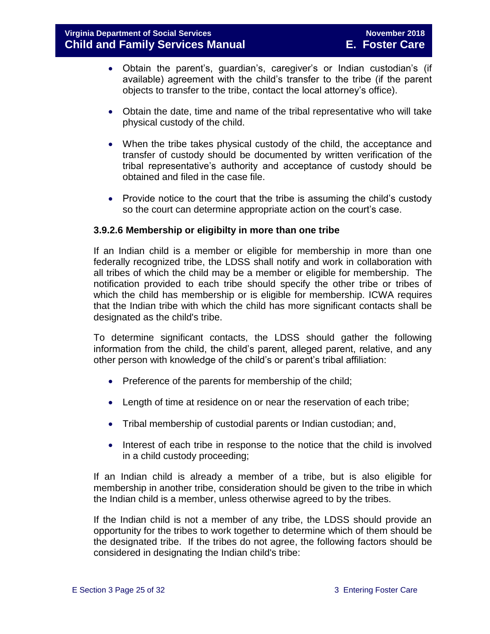- Obtain the parent's, guardian's, caregiver's or Indian custodian's (if available) agreement with the child's transfer to the tribe (if the parent objects to transfer to the tribe, contact the local attorney's office).
- Obtain the date, time and name of the tribal representative who will take physical custody of the child.
- When the tribe takes physical custody of the child, the acceptance and transfer of custody should be documented by written verification of the tribal representative's authority and acceptance of custody should be obtained and filed in the case file.
- Provide notice to the court that the tribe is assuming the child's custody so the court can determine appropriate action on the court's case.

#### **3.9.2.6 Membership or eligibilty in more than one tribe**

If an Indian child is a member or eligible for membership in more than one federally recognized tribe, the LDSS shall notify and work in collaboration with all tribes of which the child may be a member or eligible for membership. The notification provided to each tribe should specify the other tribe or tribes of which the child has membership or is eligible for membership. ICWA requires that the Indian tribe with which the child has more significant contacts shall be designated as the child's tribe.

To determine significant contacts, the LDSS should gather the following information from the child, the child's parent, alleged parent, relative, and any other person with knowledge of the child's or parent's tribal affiliation:

- Preference of the parents for membership of the child;
- Length of time at residence on or near the reservation of each tribe;
- Tribal membership of custodial parents or Indian custodian; and,
- Interest of each tribe in response to the notice that the child is involved in a child custody proceeding;

If an Indian child is already a member of a tribe, but is also eligible for membership in another tribe, consideration should be given to the tribe in which the Indian child is a member, unless otherwise agreed to by the tribes.

If the Indian child is not a member of any tribe, the LDSS should provide an opportunity for the tribes to work together to determine which of them should be the designated tribe. If the tribes do not agree, the following factors should be considered in designating the Indian child's tribe: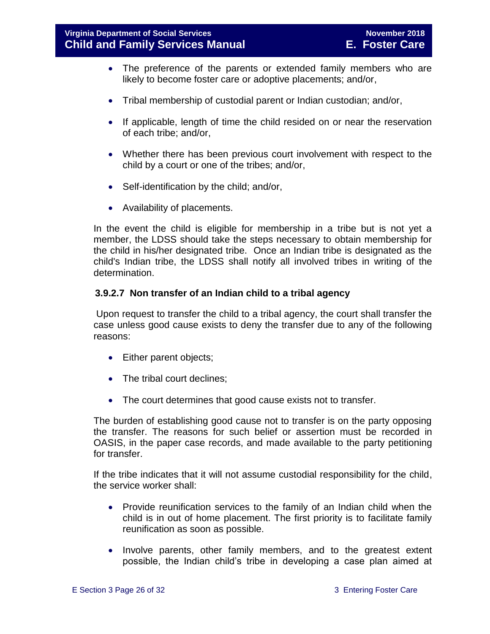- The preference of the parents or extended family members who are likely to become foster care or adoptive placements; and/or,
- Tribal membership of custodial parent or Indian custodian; and/or,
- If applicable, length of time the child resided on or near the reservation of each tribe; and/or,
- Whether there has been previous court involvement with respect to the child by a court or one of the tribes; and/or,
- Self-identification by the child; and/or,
- Availability of placements.

In the event the child is eligible for membership in a tribe but is not yet a member, the LDSS should take the steps necessary to obtain membership for the child in his/her designated tribe. Once an Indian tribe is designated as the child's Indian tribe, the LDSS shall notify all involved tribes in writing of the determination.

#### **3.9.2.7 Non transfer of an Indian child to a tribal agency**

Upon request to transfer the child to a tribal agency, the court shall transfer the case unless good cause exists to deny the transfer due to any of the following reasons:

- Either parent objects;
- The tribal court declines;
- The court determines that good cause exists not to transfer.

The burden of establishing good cause not to transfer is on the party opposing the transfer. The reasons for such belief or assertion must be recorded in OASIS, in the paper case records, and made available to the party petitioning for transfer.

If the tribe indicates that it will not assume custodial responsibility for the child, the service worker shall:

- Provide reunification services to the family of an Indian child when the child is in out of home placement. The first priority is to facilitate family reunification as soon as possible.
- Involve parents, other family members, and to the greatest extent possible, the Indian child's tribe in developing a case plan aimed at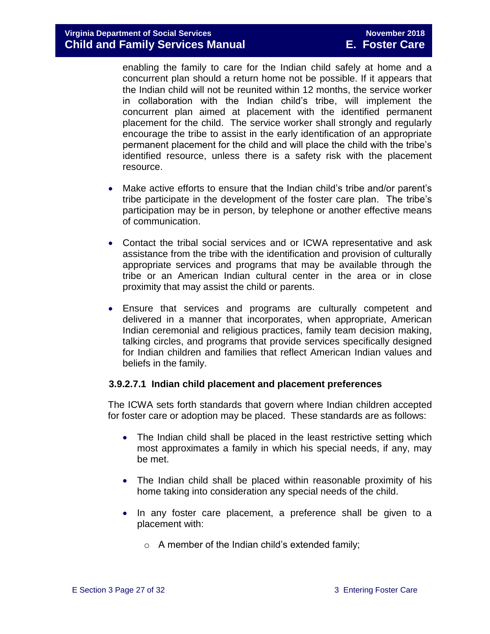enabling the family to care for the Indian child safely at home and a concurrent plan should a return home not be possible. If it appears that the Indian child will not be reunited within 12 months, the service worker in collaboration with the Indian child's tribe, will implement the concurrent plan aimed at placement with the identified permanent placement for the child. The service worker shall strongly and regularly encourage the tribe to assist in the early identification of an appropriate permanent placement for the child and will place the child with the tribe's identified resource, unless there is a safety risk with the placement resource.

- Make active efforts to ensure that the Indian child's tribe and/or parent's tribe participate in the development of the foster care plan. The tribe's participation may be in person, by telephone or another effective means of communication.
- Contact the tribal social services and or ICWA representative and ask assistance from the tribe with the identification and provision of culturally appropriate services and programs that may be available through the tribe or an American Indian cultural center in the area or in close proximity that may assist the child or parents.
- Ensure that services and programs are culturally competent and delivered in a manner that incorporates, when appropriate, American Indian ceremonial and religious practices, family team decision making, talking circles, and programs that provide services specifically designed for Indian children and families that reflect American Indian values and beliefs in the family.

#### **3.9.2.7.1 Indian child placement and placement preferences**

The ICWA sets forth standards that govern where Indian children accepted for foster care or adoption may be placed. These standards are as follows:

- The Indian child shall be placed in the least restrictive setting which most approximates a family in which his special needs, if any, may be met.
- The Indian child shall be placed within reasonable proximity of his home taking into consideration any special needs of the child.
- In any foster care placement, a preference shall be given to a placement with:
	- $\circ$  A member of the Indian child's extended family;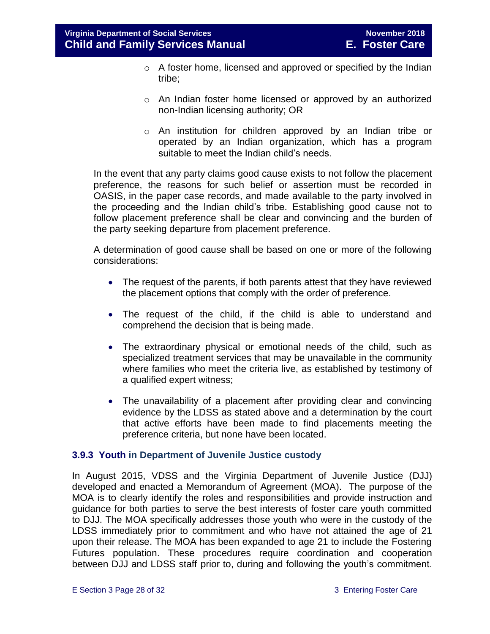- o A foster home, licensed and approved or specified by the Indian tribe;
- o An Indian foster home licensed or approved by an authorized non-Indian licensing authority; OR
- o An institution for children approved by an Indian tribe or operated by an Indian organization, which has a program suitable to meet the Indian child's needs.

In the event that any party claims good cause exists to not follow the placement preference, the reasons for such belief or assertion must be recorded in OASIS, in the paper case records, and made available to the party involved in the proceeding and the Indian child's tribe. Establishing good cause not to follow placement preference shall be clear and convincing and the burden of the party seeking departure from placement preference.

A determination of good cause shall be based on one or more of the following considerations:

- The request of the parents, if both parents attest that they have reviewed the placement options that comply with the order of preference.
- The request of the child, if the child is able to understand and comprehend the decision that is being made.
- The extraordinary physical or emotional needs of the child, such as specialized treatment services that may be unavailable in the community where families who meet the criteria live, as established by testimony of a qualified expert witness;
- The unavailability of a placement after providing clear and convincing evidence by the LDSS as stated above and a determination by the court that active efforts have been made to find placements meeting the preference criteria, but none have been located.

#### <span id="page-27-0"></span>**3.9.3 Youth in Department of Juvenile Justice custody**

In August 2015, VDSS and the Virginia Department of Juvenile Justice (DJJ) developed and enacted a Memorandum of Agreement (MOA). The purpose of the MOA is to clearly identify the roles and responsibilities and provide instruction and guidance for both parties to serve the best interests of foster care youth committed to DJJ. The MOA specifically addresses those youth who were in the custody of the LDSS immediately prior to commitment and who have not attained the age of 21 upon their release. The MOA has been expanded to age 21 to include the Fostering Futures population. These procedures require coordination and cooperation between DJJ and LDSS staff prior to, during and following the youth's commitment.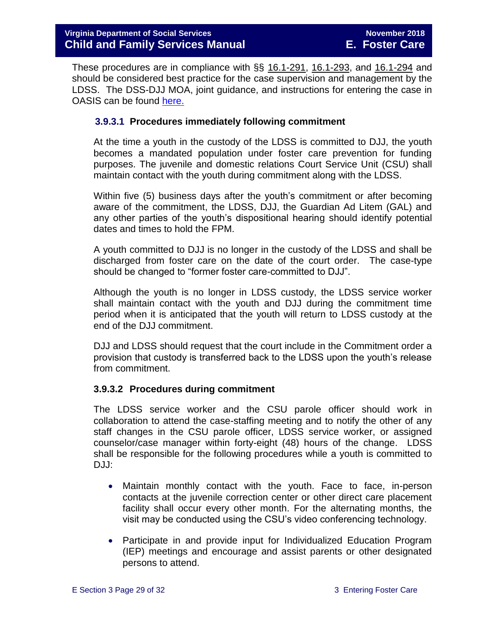These procedures are in compliance with §§ [16.1-291,](http://leg1.state.va.us/cgi-bin/legp504.exe?000+cod+16.1-291) [16.1-293,](http://leg1.state.va.us/cgi-bin/legp504.exe?000+cod+16.1-293) and [16.1-294](http://leg1.state.va.us/cgi-bin/legp504.exe?000+cod+16.1-294) and should be considered best practice for the case supervision and management by the LDSS. The DSS-DJJ MOA, joint guidance, and instructions for entering the case in OASIS can be found [here.](http://spark.dss.virginia.gov/divisions/dfs/fc/guidance.cgi)

#### **3.9.3.1 Procedures immediately following commitment**

At the time a youth in the custody of the LDSS is committed to DJJ, the youth becomes a mandated population under foster care prevention for funding purposes. The juvenile and domestic relations Court Service Unit (CSU) shall maintain contact with the youth during commitment along with the LDSS.

Within five (5) business days after the youth's commitment or after becoming aware of the commitment, the LDSS, DJJ, the Guardian Ad Litem (GAL) and any other parties of the youth's dispositional hearing should identify potential dates and times to hold the FPM.

A youth committed to DJJ is no longer in the custody of the LDSS and shall be discharged from foster care on the date of the court order. The case-type should be changed to "former foster care-committed to DJJ".

Although the youth is no longer in LDSS custody, the LDSS service worker shall maintain contact with the youth and DJJ during the commitment time period when it is anticipated that the youth will return to LDSS custody at the end of the DJJ commitment.

DJJ and LDSS should request that the court include in the Commitment order a provision that custody is transferred back to the LDSS upon the youth's release from commitment.

#### **3.9.3.2 Procedures during commitment**

The LDSS service worker and the CSU parole officer should work in collaboration to attend the case-staffing meeting and to notify the other of any staff changes in the CSU parole officer, LDSS service worker, or assigned counselor/case manager within forty-eight (48) hours of the change. LDSS shall be responsible for the following procedures while a youth is committed to DJJ:

- Maintain monthly contact with the youth. Face to face, in-person contacts at the juvenile correction center or other direct care placement facility shall occur every other month. For the alternating months, the visit may be conducted using the CSU's video conferencing technology.
- Participate in and provide input for Individualized Education Program (IEP) meetings and encourage and assist parents or other designated persons to attend.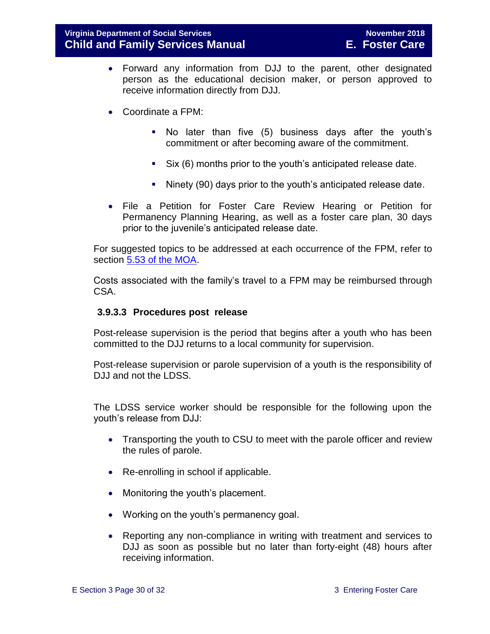- Forward any information from DJJ to the parent, other designated person as the educational decision maker, or person approved to receive information directly from DJJ.
- Coordinate a FPM:
	- No later than five (5) business days after the youth's commitment or after becoming aware of the commitment.
	- Six (6) months prior to the youth's anticipated release date.
	- Ninety (90) days prior to the youth's anticipated release date.
- File a Petition for Foster Care Review Hearing or Petition for Permanency Planning Hearing, as well as a foster care plan, 30 days prior to the juvenile's anticipated release date.

For suggested topics to be addressed at each occurrence of the FPM, refer to section [5.53 of the MOA.](http://spark.dss.virginia.gov/divisions/dfs/fc/files/guidance_procedures_faq/vdss_vdjj_memo_agreement/Signed_MOA_for_VA_DSS__DJJ.PDF)

Costs associated with the family's travel to a FPM may be reimbursed through CSA.

#### **3.9.3.3 Procedures post release**

Post-release supervision is the period that begins after a youth who has been committed to the DJJ returns to a local community for supervision.

Post-release supervision or parole supervision of a youth is the responsibility of DJJ and not the LDSS.

The LDSS service worker should be responsible for the following upon the youth's release from DJJ:

- Transporting the youth to CSU to meet with the parole officer and review the rules of parole.
- Re-enrolling in school if applicable.
- Monitoring the youth's placement.
- Working on the youth's permanency goal.
- Reporting any non-compliance in writing with treatment and services to DJJ as soon as possible but no later than forty-eight (48) hours after receiving information.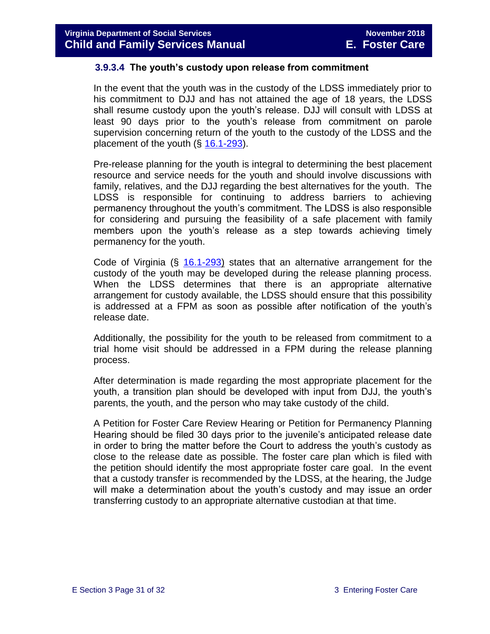#### **3.9.3.4 The youth's custody upon release from commitment**

In the event that the youth was in the custody of the LDSS immediately prior to his commitment to DJJ and has not attained the age of 18 years, the LDSS shall resume custody upon the youth's release. DJJ will consult with LDSS at least 90 days prior to the youth's release from commitment on parole supervision concerning return of the youth to the custody of the LDSS and the placement of the youth  $(\S 16.1-293)$  $(\S 16.1-293)$ .

Pre-release planning for the youth is integral to determining the best placement resource and service needs for the youth and should involve discussions with family, relatives, and the DJJ regarding the best alternatives for the youth. The LDSS is responsible for continuing to address barriers to achieving permanency throughout the youth's commitment. The LDSS is also responsible for considering and pursuing the feasibility of a safe placement with family members upon the youth's release as a step towards achieving timely permanency for the youth.

Code of Virginia  $(\S$  [16.1-293\)](http://law.lis.virginia.gov/vacode/16.1-293/) states that an alternative arrangement for the custody of the youth may be developed during the release planning process. When the LDSS determines that there is an appropriate alternative arrangement for custody available, the LDSS should ensure that this possibility is addressed at a FPM as soon as possible after notification of the youth's release date.

Additionally, the possibility for the youth to be released from commitment to a trial home visit should be addressed in a FPM during the release planning process.

After determination is made regarding the most appropriate placement for the youth, a transition plan should be developed with input from DJJ, the youth's parents, the youth, and the person who may take custody of the child.

A Petition for Foster Care Review Hearing or Petition for Permanency Planning Hearing should be filed 30 days prior to the juvenile's anticipated release date in order to bring the matter before the Court to address the youth's custody as close to the release date as possible. The foster care plan which is filed with the petition should identify the most appropriate foster care goal. In the event that a custody transfer is recommended by the LDSS, at the hearing, the Judge will make a determination about the youth's custody and may issue an order transferring custody to an appropriate alternative custodian at that time.